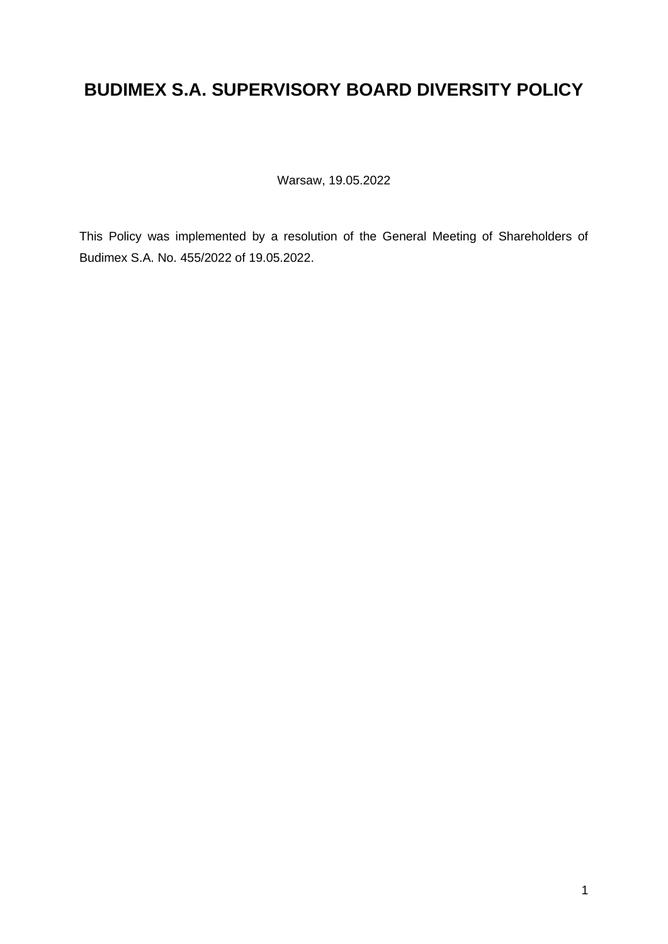# **BUDIMEX S.A. SUPERVISORY BOARD DIVERSITY POLICY**

Warsaw, 19.05.2022

This Policy was implemented by a resolution of the General Meeting of Shareholders of Budimex S.A. No. 455/2022 of 19.05.2022.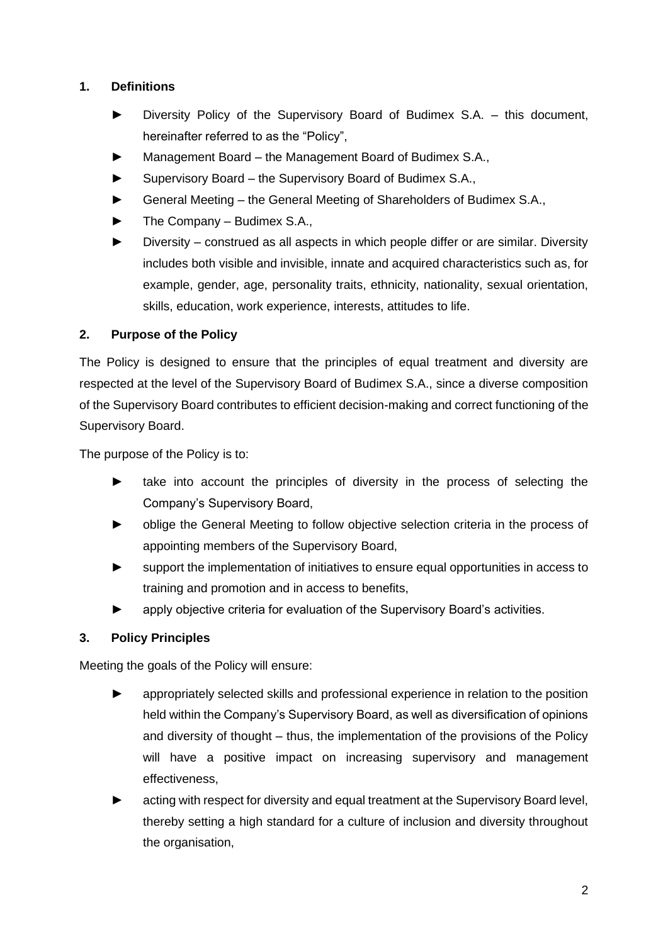## **1. Definitions**

- Diversity Policy of the Supervisory Board of Budimex S.A. this document, hereinafter referred to as the "Policy",
- ► Management Board the Management Board of Budimex S.A.,
- ► Supervisory Board the Supervisory Board of Budimex S.A.,
- ► General Meeting the General Meeting of Shareholders of Budimex S.A.,
- ► The Company Budimex S.A.,
- ► Diversity construed as all aspects in which people differ or are similar. Diversity includes both visible and invisible, innate and acquired characteristics such as, for example, gender, age, personality traits, ethnicity, nationality, sexual orientation, skills, education, work experience, interests, attitudes to life.

## **2. Purpose of the Policy**

The Policy is designed to ensure that the principles of equal treatment and diversity are respected at the level of the Supervisory Board of Budimex S.A., since a diverse composition of the Supervisory Board contributes to efficient decision-making and correct functioning of the Supervisory Board.

The purpose of the Policy is to:

- ► take into account the principles of diversity in the process of selecting the Company's Supervisory Board,
- ► oblige the General Meeting to follow objective selection criteria in the process of appointing members of the Supervisory Board,
- support the implementation of initiatives to ensure equal opportunities in access to training and promotion and in access to benefits,
- ► apply objective criteria for evaluation of the Supervisory Board's activities.

## **3. Policy Principles**

Meeting the goals of the Policy will ensure:

- appropriately selected skills and professional experience in relation to the position held within the Company's Supervisory Board, as well as diversification of opinions and diversity of thought – thus, the implementation of the provisions of the Policy will have a positive impact on increasing supervisory and management effectiveness,
- acting with respect for diversity and equal treatment at the Supervisory Board level, thereby setting a high standard for a culture of inclusion and diversity throughout the organisation,